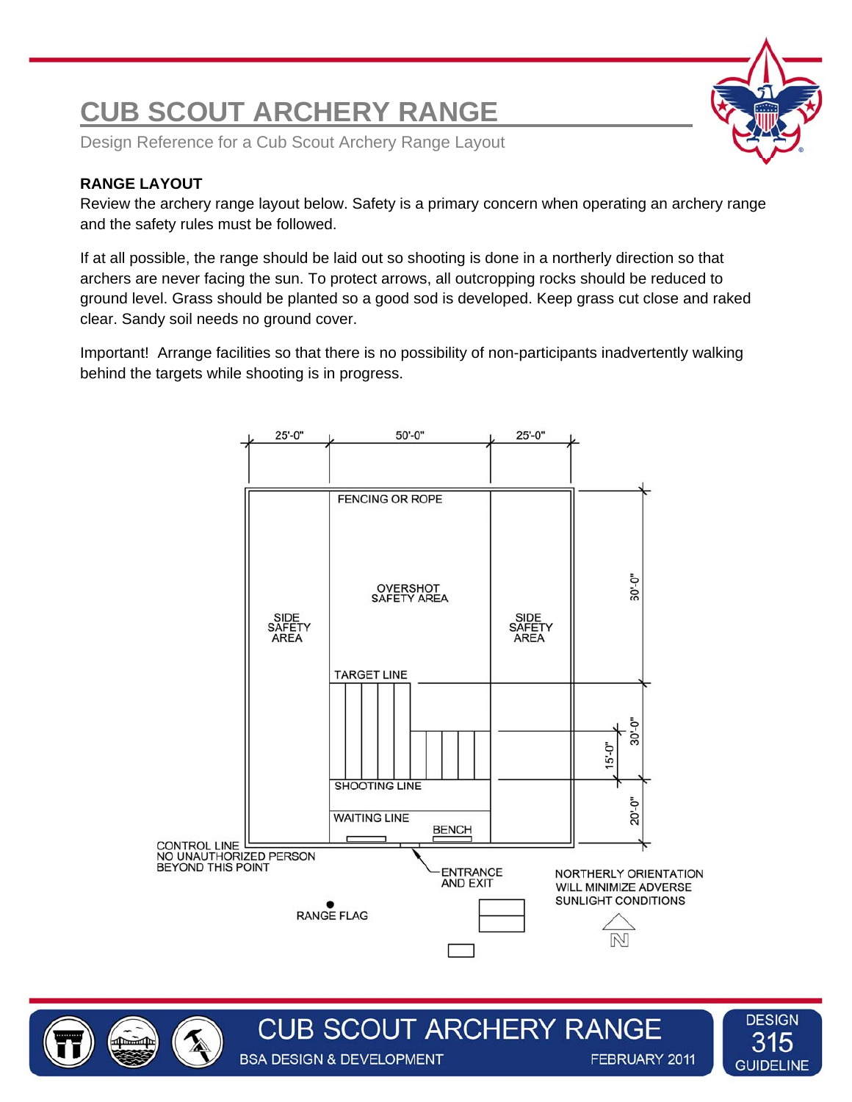# **CUB SCOUT ARCHERY RANGE**

Design Reference for a Cub Scout Archery Range Layout

## **RANGE LAYOUT**

Review the archery range layout below. Safety is a primary concern when operating an archery range and the safety rules must be followed.

If at all possible, the range should be laid out so shooting is done in a northerly direction so that archers are never facing the sun. To protect arrows, all outcropping rocks should be reduced to ground level. Grass should be planted so a good sod is developed. Keep grass cut close and raked clear. Sandy soil needs no ground cover.

Important! Arrange facilities so that there is no possibility of non-participants inadvertently walking behind the targets while shooting is in progress.



**CUB SCOUT ARCHERY RANGE** 

**BSA DESIGN & DEVELOPMENT** 

**DESIGN** 315 **GUIDELINE** 

FEBRUARY 2011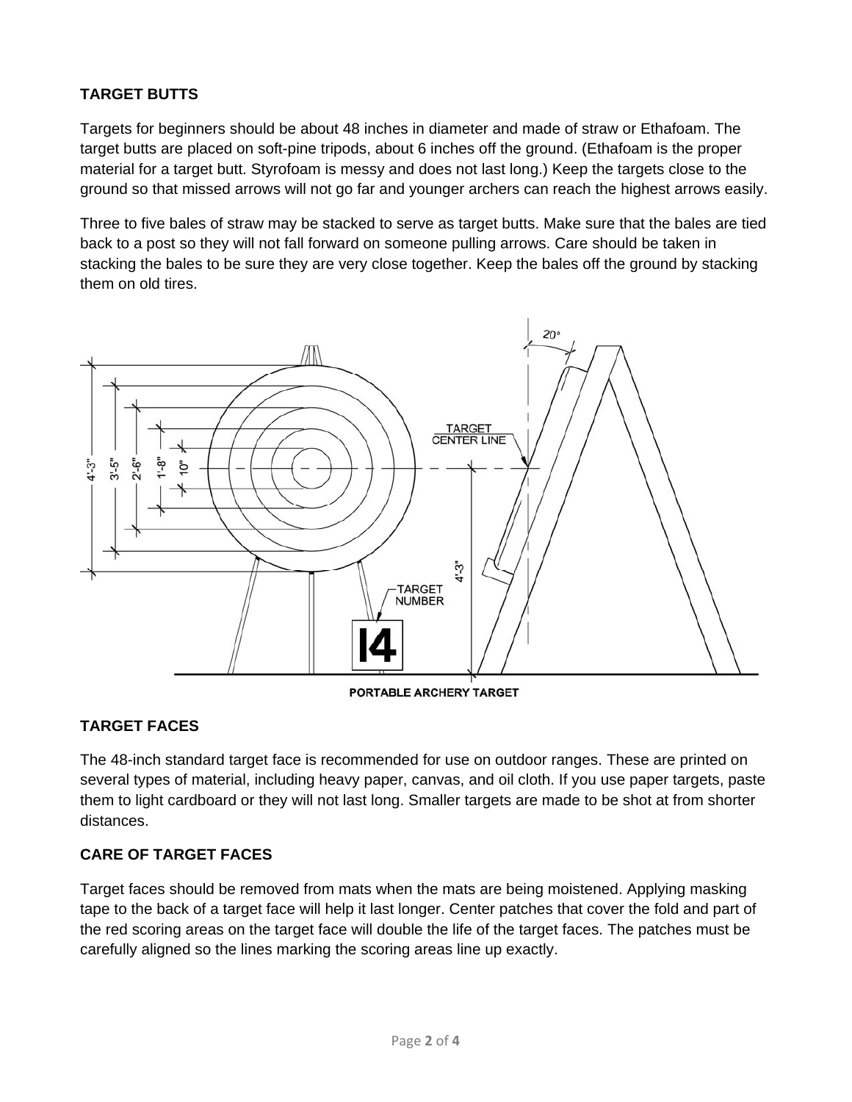## **TARGET BUTTS**

Targets for beginners should be about 48 inches in diameter and made of straw or Ethafoam. The target butts are placed on soft-pine tripods, about 6 inches off the ground. (Ethafoam is the proper material for a target butt. Styrofoam is messy and does not last long.) Keep the targets close to the ground so that missed arrows will not go far and younger archers can reach the highest arrows easily.

Three to five bales of straw may be stacked to serve as target butts. Make sure that the bales are tied back to a post so they will not fall forward on someone pulling arrows. Care should be taken in stacking the bales to be sure they are very close together. Keep the bales off the ground by stacking them on old tires.



PORTABLE ARCHERY TARGET

## **TARGET FACES**

The 48-inch standard target face is recommended for use on outdoor ranges. These are printed on several types of material, including heavy paper, canvas, and oil cloth. If you use paper targets, paste them to light cardboard or they will not last long. Smaller targets are made to be shot at from shorter distances.

#### **CARE OF TARGET FACES**

Target faces should be removed from mats when the mats are being moistened. Applying masking tape to the back of a target face will help it last longer. Center patches that cover the fold and part of the red scoring areas on the target face will double the life of the target faces. The patches must be carefully aligned so the lines marking the scoring areas line up exactly.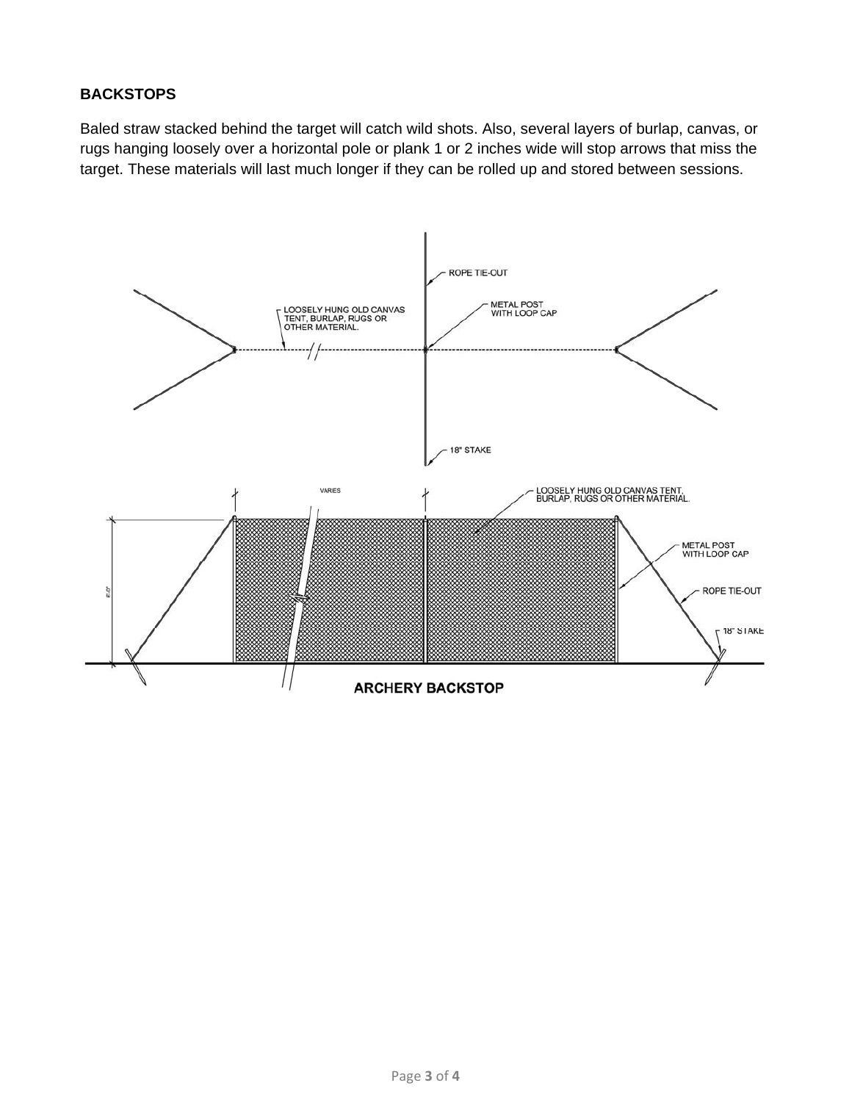#### **BACKSTOPS**

Baled straw stacked behind the target will catch wild shots. Also, several layers of burlap, canvas, or rugs hanging loosely over a horizontal pole or plank 1 or 2 inches wide will stop arrows that miss the target. These materials will last much longer if they can be rolled up and stored between sessions.